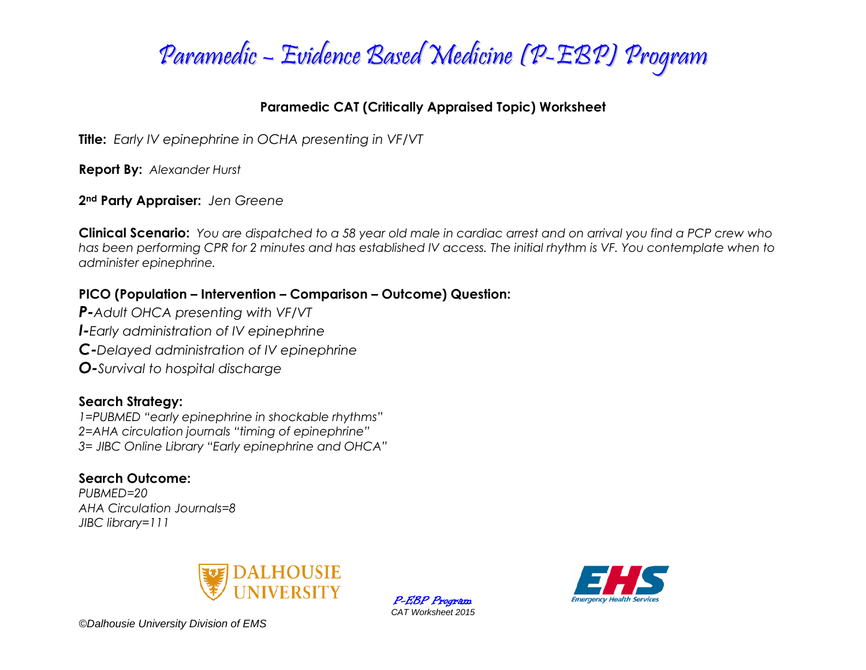

### **Paramedic CAT (Critically Appraised Topic) Worksheet**

**Title:** *Early IV epinephrine in OCHA presenting in VF/VT*

**Report By:** *Alexander Hurst*

**2nd Party Appraiser:** *Jen Greene*

**Clinical Scenario:** *You are dispatched to a 58 year old male in cardiac arrest and on arrival you find a PCP crew who has been performing CPR for 2 minutes and has established IV access. The initial rhythm is VF. You contemplate when to administer epinephrine.*

### **PICO (Population – Intervention – Comparison – Outcome) Question:**

*P-Adult OHCA presenting with VF/VT I-Early administration of IV epinephrine C-Delayed administration of IV epinephrine O-Survival to hospital discharge*

## **Search Strategy:**

*1=PUBMED "early epinephrine in shockable rhythms" 2=AHA circulation journals "timing of epinephrine" 3= JIBC Online Library "Early epinephrine and OHCA"*

#### **Search Outcome:** *PUBMED=20*

*AHA Circulation Journals=8 JIBC library=111*



P-EBP Program *CAT Worksheet 2015*

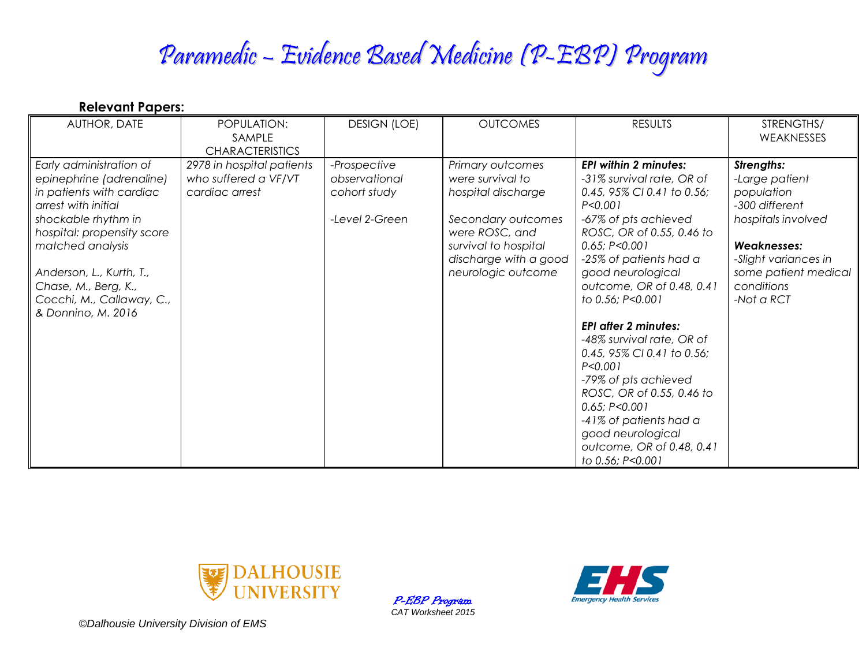# Paramedic – Evidence Based Medicine (P-EBP) Program

**Relevant Papers:**

| AUTHOR, DATE                                                                                                                                                                                                                                                                           | POPULATION:<br><b>SAMPLE</b><br><b>CHARACTERISTICS</b>              | <b>DESIGN (LOE)</b>                                             | <b>OUTCOMES</b>                                                                                                                                                           | <b>RESULTS</b>                                                                                                                                                                                                                                                                                                                                                                                                                                                                                                                                                 | STRENGTHS/<br>WEAKNESSES                                                                                                                                                      |
|----------------------------------------------------------------------------------------------------------------------------------------------------------------------------------------------------------------------------------------------------------------------------------------|---------------------------------------------------------------------|-----------------------------------------------------------------|---------------------------------------------------------------------------------------------------------------------------------------------------------------------------|----------------------------------------------------------------------------------------------------------------------------------------------------------------------------------------------------------------------------------------------------------------------------------------------------------------------------------------------------------------------------------------------------------------------------------------------------------------------------------------------------------------------------------------------------------------|-------------------------------------------------------------------------------------------------------------------------------------------------------------------------------|
| Early administration of<br>epinephrine (adrenaline)<br>in patients with cardiac<br>arrest with initial<br>shockable rhythm in<br>hospital: propensity score<br>matched analysis<br>Anderson, L., Kurth, T.,<br>Chase, M., Berg, K.,<br>Cocchi, M., Callaway, C.,<br>& Donnino, M. 2016 | 2978 in hospital patients<br>who suffered a VF/VT<br>cardiac arrest | -Prospective<br>observational<br>cohort study<br>-Level 2-Green | Primary outcomes<br>were survival to<br>hospital discharge<br>Secondary outcomes<br>were ROSC, and<br>survival to hospital<br>discharge with a good<br>neurologic outcome | <b>EPI within 2 minutes:</b><br>-31% survival rate, OR of<br>$0.45$ , 95% CI 0.41 to 0.56;<br>P < 0.001<br>-67% of pts achieved<br>ROSC, OR of 0.55, 0.46 to<br>0.65; P < 0.001<br>-25% of patients had a<br>good neurological<br>outcome, OR of 0.48, 0.41<br>to 0.56; P<0.001<br><b>EPI after 2 minutes:</b><br>-48% survival rate, OR of<br>0.45, 95% CI 0.41 to 0.56;<br>P < 0.001<br>-79% of pts achieved<br>ROSC, OR of 0.55, 0.46 to<br>0.65; P < 0.001<br>-41% of patients had a<br>good neurological<br>outcome, OR of 0.48, 0.41<br>to 0.56; P<0.001 | Strengths:<br>-Large patient<br>population<br>-300 different<br>hospitals involved<br>Weaknesses:<br>-Slight variances in<br>some patient medical<br>conditions<br>-Not a RCT |



P-EBP Program *CAT Worksheet 2015*

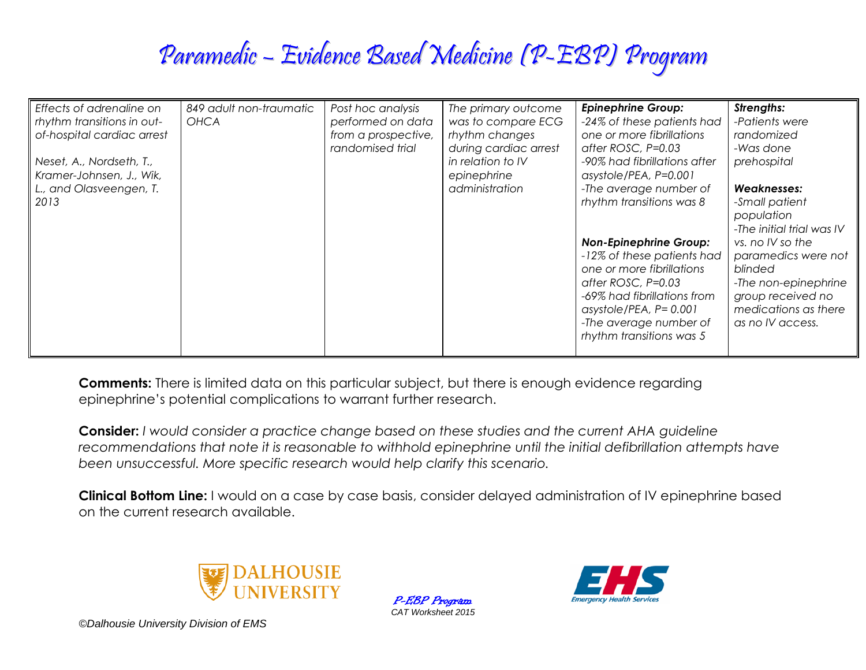# Paramedic – Evidence Based Medicine (P-EBP) Program

| Effects of adrenaline on<br>rhythm transitions in out-<br>of-hospital cardiac arrest<br>Neset, A., Nordseth, T.,<br>Kramer-Johnsen, J., Wik,<br>L., and Olasveengen, T.<br>2013 | 849 adult non-traumatic<br><b>OHCA</b> | Post hoc analysis<br>performed on data<br>from a prospective,<br>randomised trial | The primary outcome<br>was to compare ECG<br>rhythm changes<br>during cardiac arrest<br>in relation to IV<br>epinephrine<br>administration | <b>Epinephrine Group:</b><br>-24% of these patients had<br>one or more fibrillations<br>after ROSC, P=0.03<br>-90% had fibrillations after<br>asystole/PEA, P=0.001<br>-The average number of<br>rhythm transitions was 8<br><b>Non-Epinephrine Group:</b><br>-12% of these patients had<br>one or more fibrillations<br>after ROSC, P=0.03 | Strengths:<br>-Patients were<br>randomized<br>-Was done<br>prehospital<br>Weaknesses:<br>-Small patient<br>population<br>-The initial trial was IV<br>vs. no IV so the<br>paramedics were not<br>blinded<br>-The non-epinephrine |
|---------------------------------------------------------------------------------------------------------------------------------------------------------------------------------|----------------------------------------|-----------------------------------------------------------------------------------|--------------------------------------------------------------------------------------------------------------------------------------------|---------------------------------------------------------------------------------------------------------------------------------------------------------------------------------------------------------------------------------------------------------------------------------------------------------------------------------------------|----------------------------------------------------------------------------------------------------------------------------------------------------------------------------------------------------------------------------------|
|                                                                                                                                                                                 |                                        |                                                                                   |                                                                                                                                            | -69% had fibrillations from<br>asystole/PEA, $P = 0.001$<br>-The average number of<br>rhythm transitions was 5                                                                                                                                                                                                                              | group received no<br>medications as there<br>as no IV access.                                                                                                                                                                    |

**Comments:** There is limited data on this particular subject, but there is enough evidence regarding epinephrine's potential complications to warrant further research.

**Consider:** *I would consider a practice change based on these studies and the current AHA guideline recommendations that note it is reasonable to withhold epinephrine until the initial defibrillation attempts have been unsuccessful. More specific research would help clarify this scenario.*

**Clinical Bottom Line:** I would on a case by case basis, consider delayed administration of IV epinephrine based on the current research available.



P-EBP Program *CAT Worksheet 2015*